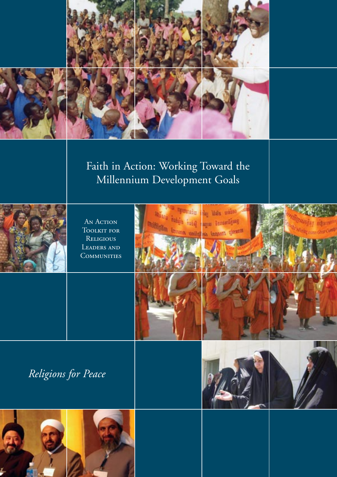

# Faith in Action: Working Toward the Millennium Development Goals



An Action TOOLKIT FOR **RELIGIOUS** Leaders and **COMMUNITIES** 







*Religions for Peace*





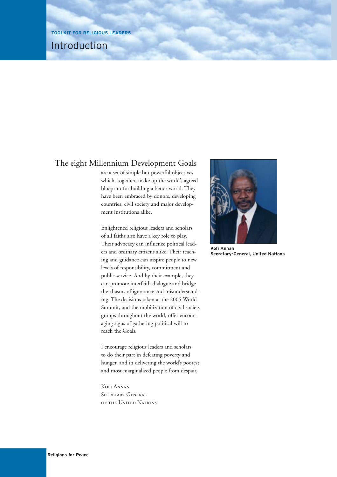### Introduction

### The eight Millennium Development Goals

are a set of simple but powerful objectives which, together, make up the world's agreed blueprint for building a better world. They have been embraced by donors, developing countries, civil society and major development institutions alike.

Enlightened religious leaders and scholars of all faiths also have a key role to play. Their advocacy can influence political leaders and ordinary citizens alike. Their teaching and guidance can inspire people to new levels of responsibility, commitment and public service. And by their example, they can promote interfaith dialogue and bridge the chasms of ignorance and misunderstanding. The decisions taken at the 2005 World Summit, and the mobilization of civil society groups throughout the world, offer encouraging signs of gathering political will to reach the Goals.

I encourage religious leaders and scholars to do their part in defeating poverty and hunger, and in delivering the world's poorest and most marginalized people from despair.

Kofi Annan SECRETARY-GENERAL of the United Nations



**Secretary-General, United Nations**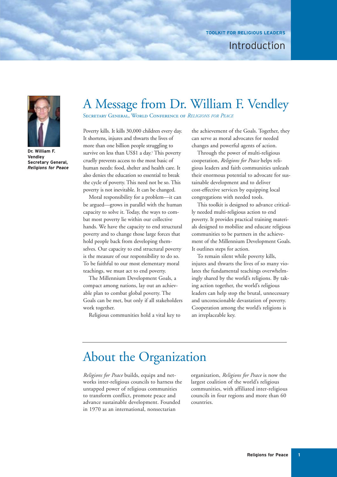### Introduction



**Dr. William F. Vendley Secretary General,** *Religions for Peace*

# A Message from Dr. William F. Vendley

Secretary General, World Conference of *RELIGIONS FOR PEACE*

Poverty kills. It kills 30,000 children every day. It shortens, injures and thwarts the lives of more than one billion people struggling to survive on less than US\$1 a day.<sup>1</sup> This poverty cruelly prevents access to the most basic of human needs: food, shelter and health care. It also denies the education so essential to break the cycle of poverty. This need not be so. This poverty is not inevitable. It can be changed.

Moral responsibility for a problem—it can be argued—grows in parallel with the human capacity to solve it. Today, the ways to combat most poverty lie within our collective hands. We have the capacity to end structural poverty and to change those large forces that hold people back from developing themselves. Our capacity to end structural poverty is the measure of our responsibility to do so. To be faithful to our most elementary moral teachings, we must act to end poverty.

The Millennium Development Goals, a compact among nations, lay out an achievable plan to combat global poverty. The Goals can be met, but only if all stakeholders work together.

Religious communities hold a vital key to

the achievement of the Goals. Together, they can serve as moral advocates for needed changes and powerful agents of action.

Through the power of multi-religious cooperation, *Religions for Peace* helps religious leaders and faith communities unleash their enormous potential to advocate for sustainable development and to deliver cost-effective services by equipping local congregations with needed tools.

This toolkit is designed to advance critically needed multi-religious action to end poverty. It provides practical training materials designed to mobilize and educate religious communities to be partners in the achievement of the Millennium Development Goals. It outlines steps for action.

To remain silent while poverty kills, injures and thwarts the lives of so many violates the fundamental teachings overwhelmingly shared by the world's religions. By taking action together, the world's religious leaders can help stop the brutal, unnecessary and unconscionable devastation of poverty. Cooperation among the world's religions is an irreplaceable key.

# About the Organization

*Religions for Peace* builds, equips and networks inter-religious councils to harness the untapped power of religious communities to transform conflict, promote peace and advance sustainable development. Founded in 1970 as an international, nonsectarian

organization, *Religions for Peace* is now the largest coalition of the world's religious communities, with affiliated inter-religious councils in four regions and more than 60 countries.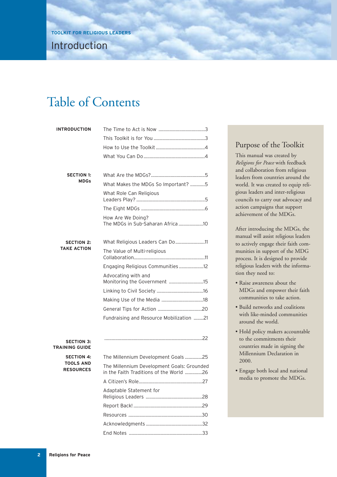# Table of Contents

| <b>INTRODUCTION</b>                        |                                                                                       |
|--------------------------------------------|---------------------------------------------------------------------------------------|
|                                            |                                                                                       |
|                                            |                                                                                       |
|                                            |                                                                                       |
|                                            |                                                                                       |
| <b>SECTION 1:</b>                          |                                                                                       |
| <b>MDGs</b>                                | What Makes the MDGs So Important? 5                                                   |
|                                            | What Role Can Religious                                                               |
|                                            |                                                                                       |
|                                            | How Are We Doing?                                                                     |
| <b>SECTION 2:</b><br><b>TAKE ACTION</b>    |                                                                                       |
|                                            | The Value of Multi-religious                                                          |
|                                            | Engaging Religious Communities 12                                                     |
|                                            | Advocating with and<br>Monitoring the Government 15                                   |
|                                            |                                                                                       |
|                                            |                                                                                       |
|                                            |                                                                                       |
|                                            | Fundraising and Resource Mobilization 21                                              |
| <b>SECTION 3:</b><br><b>TRAINING GUIDE</b> |                                                                                       |
| <b>SECTION 4:</b>                          | The Millennium Development Goals 25                                                   |
| <b>TOOLS AND</b><br><b>RESOURCES</b>       | The Millennium Development Goals: Grounded<br>in the Faith Traditions of the World 26 |
|                                            |                                                                                       |
|                                            | Adaptable Statement for                                                               |
|                                            |                                                                                       |
|                                            |                                                                                       |
|                                            |                                                                                       |

End Notes ............................................................33

### Purpose of the Toolkit

This manual was created by *Religions for Peace* with feedback and collaboration from religious leaders from countries around the world. It was created to equip religious leaders and inter-religious councils to carry out advocacy and action campaigns that support achievement of the MDGs.

After introducing the MDGs, the manual will assist religious leaders to actively engage their faith communities in support of the MDG process. It is designed to provide religious leaders with the information they need to:

- Raise awareness about the MDGs and empower their faith communities to take action.
- Build networks and coalitions with like-minded communities around the world.
- Hold policy makers accountable to the commitments their countries made in signing the Millennium Declaration in 2000.
- Engage both local and national media to promote the MDGs.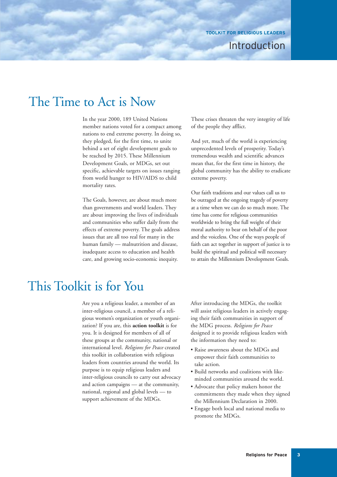### Introduction

# The Time to Act is Now

In the year 2000, 189 United Nations member nations voted for a compact among nations to end extreme poverty. In doing so, they pledged, for the first time, to unite behind a set of eight development goals to be reached by 2015. These Millennium Development Goals, or MDGs, set out specific, achievable targets on issues ranging from world hunger to HIV/AIDS to child mortality rates.

The Goals, however, are about much more than governments and world leaders. They are about improving the lives of individuals and communities who suffer daily from the effects of extreme poverty. The goals address issues that are all too real for many in the human family — malnutrition and disease, inadequate access to education and health care, and growing socio-economic inequity.

These crises threaten the very integrity of life of the people they afflict.

And yet, much of the world is experiencing unprecedented levels of prosperity. Today's tremendous wealth and scientific advances mean that, for the first time in history, the global community has the ability to eradicate extreme poverty.

Our faith traditions and our values call us to be outraged at the ongoing tragedy of poverty at a time when we can do so much more. The time has come for religious communities worldwide to bring the full weight of their moral authority to bear on behalf of the poor and the voiceless. One of the ways people of faith can act together in support of justice is to build the spiritual and political will necessary to attain the Millennium Development Goals.

# This Toolkit is for You

Are you a religious leader, a member of an inter-religious council, a member of a religious women's organization or youth organization? If you are, this **action toolkit** is for you. It is designed for members of all of these groups at the community, national or international level. *Religions for Peace* created this toolkit in collaboration with religious leaders from countries around the world. Its purpose is to equip religious leaders and inter-religious councils to carry out advocacy and action campaigns — at the community, national, regional and global levels — to support achievement of the MDGs.

After introducing the MDGs, the toolkit will assist religious leaders in actively engaging their faith communities in support of the MDG process. *Religions for Peace* designed it to provide religious leaders with the information they need to:

- Raise awareness about the MDGs and empower their faith communities to take action.
- Build networks and coalitions with likeminded communities around the world.
- Advocate that policy makers honor the commitments they made when they signed the Millennium Declaration in 2000.
- Engage both local and national media to promote the MDGs.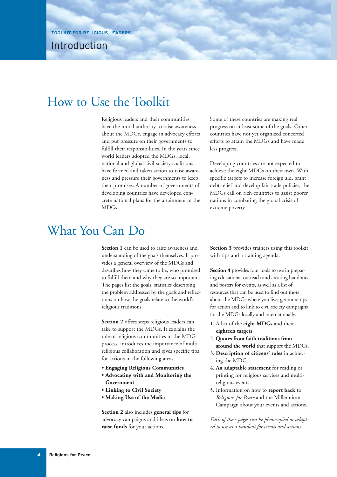Introduction

# How to Use the Toolkit

Religious leaders and their communities have the moral authority to raise awareness about the MDGs, engage in advocacy efforts and put pressure on their governments to fulfill their responsibilities. In the years since world leaders adopted the MDGs, local, national and global civil society coalitions have formed and taken action to raise awareness and pressure their governments to keep their promises. A number of governments of developing countries have developed concrete national plans for the attainment of the MDGs.

Some of these countries are making real progress on at least some of the goals. Other countries have not yet organized concerted efforts to attain the MDGs and have made less progress.

Developing countries are not expected to achieve the eight MDGs on their own. With specific targets to increase foreign aid, grant debt relief and develop fair trade policies, the MDGs call on rich countries to assist poorer nations in combating the global crisis of extreme poverty.

# What You Can Do

**Section 1** can be used to raise awareness and understanding of the goals themselves. It provides a general overview of the MDGs and describes how they came to be, who promised to fulfill them and why they are so important. The pages list the goals, statistics describing the problem addressed by the goals and reflections on how the goals relate to the world's religious traditions.

**Section 2** offers steps religious leaders can take to support the MDGs. It explains the role of religious communities in the MDG process, introduces the importance of multireligious collaboration and gives specific tips for actions in the following areas:

- **Engaging Religious Communities**
- **Advocating with and Monitoring the Government**
- **Linking to Civil Society**
- **Making Use of the Media**

**Section 2** also includes **general tips** for advocacy campaigns and ideas on **how to raise funds** for your actions.

**Section 3** provides trainers using this toolkit with tips and a training agenda.

**Section 4** provides four tools to use in preparing educational outreach and creating handouts and posters for events, as well as a list of resources that can be used to find out more about the MDGs where you live, get more tips for action and to link to civil society campaigns for the MDGs locally and internationally.

- 1. A list of the **eight MDGs** and their **eighteen targets**.
- 2. **Quotes from faith traditions from around the world** that support the MDGs.
- 3. **Description of citizens' roles** in achieving the MDGs.
- 4. **An adaptable statement** for reading or printing for religious services and multireligious events.
- 5. Information on how to **report back** to *Religions for Peace* and the Millennium Campaign about your events and actions.

*Each of these pages can be photocopied or adapted to use as a handout for events and actions.*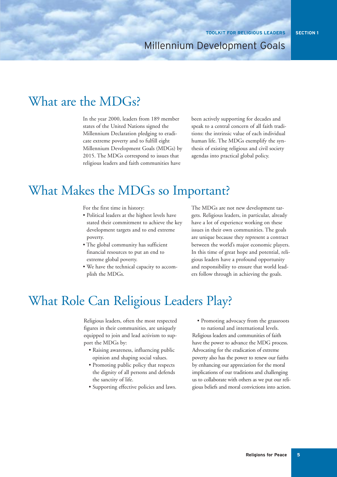# What are the MDGs?

In the year 2000, leaders from 189 member states of the United Nations signed the Millennium Declaration pledging to eradicate extreme poverty and to fulfill eight Millennium Development Goals (MDGs) by 2015. The MDGs correspond to issues that religious leaders and faith communities have

been actively supporting for decades and speak to a central concern of all faith traditions: the intrinsic value of each individual human life. The MDGs exemplify the synthesis of existing religious and civil society agendas into practical global policy.

# What Makes the MDGs so Important?

For the first time in history:

- Political leaders at the highest levels have stated their commitment to achieve the key development targets and to end extreme poverty.
- The global community has sufficient financial resources to put an end to extreme global poverty.
- We have the technical capacity to accomplish the MDGs.

The MDGs are not new development targets. Religious leaders, in particular, already have a lot of experience working on these issues in their own communities. The goals are unique because they represent a contract between the world's major economic players. In this time of great hope and potential, religious leaders have a profound opportunity and responsibility to ensure that world leaders follow through in achieving the goals.

# What Role Can Religious Leaders Play?

Religious leaders, often the most respected figures in their communities, are uniquely equipped to join and lead activism to support the MDGs by:

- Raising awareness, influencing public opinion and shaping social values.
- Promoting public policy that respects the dignity of all persons and defends the sanctity of life.
- Supporting effective policies and laws.

• Promoting advocacy from the grassroots

to national and international levels. Religious leaders and communities of faith have the power to advance the MDG process. Advocating for the eradication of extreme poverty also has the power to renew our faiths by enhancing our appreciation for the moral implications of our traditions and challenging us to collaborate with others as we put our religious beliefs and moral convictions into action.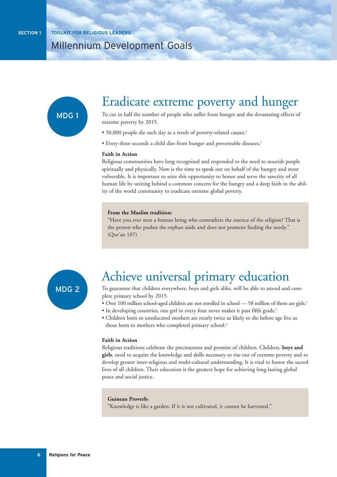

# Eradicate extreme poverty and hunger

To cut in half the number of people who suffer from hunger and the devastating effects of extreme poverty by 2015.

- 50,000 people die each day as a result of poverty-related causes.2
- Every three seconds a child dies from hunger and preventable diseases.3

#### **Faith in Action**

Religious communities have long recognized and responded to the need to nourish people spiritually and physically. Now is the time to speak out on behalf of the hungry and most vulnerable. It is important to seize this opportunity to honor and serve the sanctity of all human life by uniting behind a common concern for the hungry and a deep faith in the ability of the world community to eradicate extreme global poverty.

#### **From the Muslim tradition:**

"Have you ever seen a human being who contradicts the essence of the religion? That is the person who pushes the orphan aside and does not promote feeding the needy." (Qur'an 107)



# Achieve universal primary education

To guarantee that children everywhere, boys and girls alike, will be able to attend and complete primary school by 2015.

- Over 100 million school-aged children are not enrolled in school 58 million of them are girls.4
- In developing countries, one girl in every four never makes it past fifth grade.<sup>5</sup>
- Children born to uneducated mothers are nearly twice as likely to die before age five as those born to mothers who completed primary school.<sup>6</sup>

#### **Faith in Action**

Religious traditions celebrate the preciousness and promise of children. Children, **boys and girls**, need to acquire the knowledge and skills necessary to rise out of extreme poverty and to develop greater inter-religious and multi-cultural understanding. It is vital to honor the sacred lives of all children. Their education is the greatest hope for achieving long-lasting global peace and social justice.

#### **Guinean Proverb:**

"Knowledge is like a garden: If it is not cultivated, it cannot be harvested."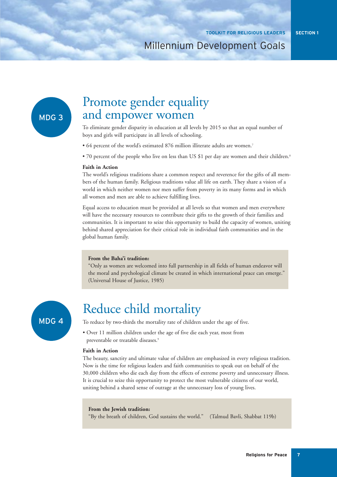### MDG 3

# Promote gender equality and empower women

To eliminate gender disparity in education at all levels by 2015 so that an equal number of boys and girls will participate in all levels of schooling.

- 64 percent of the world's estimated 876 million illiterate adults are women.7
- 70 percent of the people who live on less than US \$1 per day are women and their children.<sup>8</sup>

#### **Faith in Action**

The world's religious traditions share a common respect and reverence for the gifts of all members of the human family. Religious traditions value all life on earth. They share a vision of a world in which neither women nor men suffer from poverty in its many forms and in which all women and men are able to achieve fulfilling lives.

Equal access to education must be provided at all levels so that women and men everywhere will have the necessary resources to contribute their gifts to the growth of their families and communities. It is important to seize this opportunity to build the capacity of women, uniting behind shared appreciation for their critical role in individual faith communities and in the global human family.

#### **From the Baha'i tradition:**

"Only as women are welcomed into full partnership in all fields of human endeavor will the moral and psychological climate be created in which international peace can emerge." (Universal House of Justice, 1985)

### MDG 4

# Reduce child mortality

To reduce by two-thirds the mortality rate of children under the age of five.

• Over 11 million children under the age of five die each year, most from preventable or treatable diseases.<sup>9</sup>

#### **Faith in Action**

The beauty, sanctity and ultimate value of children are emphasized in every religious tradition. Now is the time for religious leaders and faith communities to speak out on behalf of the 30,000 children who die each day from the effects of extreme poverty and unnecessary illness. It is crucial to seize this opportunity to protect the most vulnerable citizens of our world, uniting behind a shared sense of outrage at the unnecessary loss of young lives.

#### **From the Jewish tradition:**

"By the breath of children, God sustains the world." (Talmud Bavli, Shabbat 119b)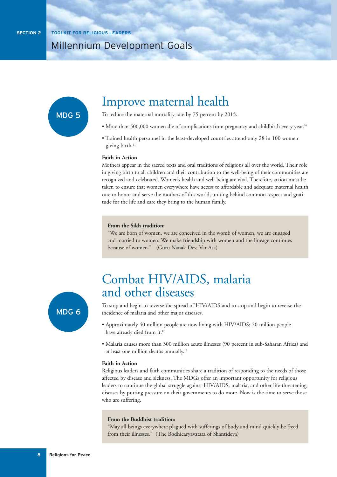

# Improve maternal health

To reduce the maternal mortality rate by 75 percent by 2015.

- More than 500,000 women die of complications from pregnancy and childbirth every year.<sup>10</sup>
- Trained health personnel in the least-developed countries attend only 28 in 100 women giving birth.<sup>11</sup>

#### **Faith in Action**

Mothers appear in the sacred texts and oral traditions of religions all over the world. Their role in giving birth to all children and their contribution to the well-being of their communities are recognized and celebrated. Women's health and well-being are vital. Therefore, action must be taken to ensure that women everywhere have access to affordable and adequate maternal health care to honor and serve the mothers of this world, uniting behind common respect and gratitude for the life and care they bring to the human family.

#### **From the Sikh tradition:**

"We are born of women, we are conceived in the womb of women, we are engaged and married to women. We make friendship with women and the lineage continues because of women." (Guru Nanak Dev, Var Asa)



# Combat HIV/AIDS, malaria and other diseases

To stop and begin to reverse the spread of HIV/AIDS and to stop and begin to reverse the incidence of malaria and other major diseases.

- Approximately 40 million people are now living with HIV/AIDS; 20 million people have already died from it.<sup>12</sup>
- Malaria causes more than 300 million acute illnesses (90 percent in sub-Saharan Africa) and at least one million deaths annually.13

#### **Faith in Action**

Religious leaders and faith communities share a tradition of responding to the needs of those affected by disease and sickness. The MDGs offer an important opportunity for religious leaders to continue the global struggle against HIV/AIDS, malaria, and other life-threatening diseases by putting pressure on their governments to do more. Now is the time to serve those who are suffering.

#### **From the Buddhist tradition:**

"May all beings everywhere plagued with sufferings of body and mind quickly be freed from their illnesses." (The Bodhicaryavatara of Shantideva)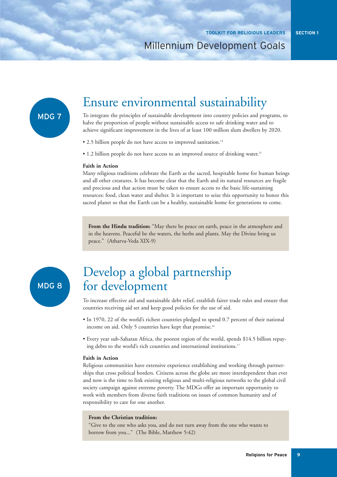### MDG 7

### Ensure environmental sustainability

To integrate the principles of sustainable development into country policies and programs, to halve the proportion of people without sustainable access to safe drinking water and to achieve significant improvement in the lives of at least 100 million slum dwellers by 2020.

• 2.5 billion people do not have access to improved sanitation.<sup>14</sup>

• 1.2 billion people do not have access to an improved source of drinking water.<sup>15</sup>

#### **Faith in Action**

Many religious traditions celebrate the Earth as the sacred, hospitable home for human beings and all other creatures. It has become clear that the Earth and its natural resources are fragile and precious and that action must be taken to ensure access to the basic life-sustaining resources: food, clean water and shelter. It is important to seize this opportunity to honor this sacred planet so that the Earth can be a healthy, sustainable home for generations to come.

**From the Hindu tradition:** "May there be peace on earth, peace in the atmosphere and in the heavens. Peaceful be the waters, the herbs and plants. May the Divine bring us peace." (Atharva-Veda XIX-9)

MDG 8

# Develop a global partnership for development

To increase effective aid and sustainable debt relief, establish fairer trade rules and ensure that countries receiving aid set and keep good policies for the use of aid.

- In 1970, 22 of the world's richest countries pledged to spend 0.7 percent of their national income on aid. Only 5 countries have kept that promise.<sup>16</sup>
- Every year sub-Saharan Africa, the poorest region of the world, spends \$14.5 billion repaying debts to the world's rich countries and international institutions.<sup>17</sup>

#### **Faith in Action**

Religious communities have extensive experience establishing and working through partnerships that cross political borders. Citizens across the globe are more interdependent than ever and now is the time to link existing religious and multi-religious networks to the global civil society campaign against extreme poverty. The MDGs offer an important opportunity to work with members from diverse faith traditions on issues of common humanity and of responsibility to care for one another.

#### **From the Christian tradition:**

"Give to the one who asks you, and do not turn away from the one who wants to borrow from you..." (The Bible, Matthew 5:42)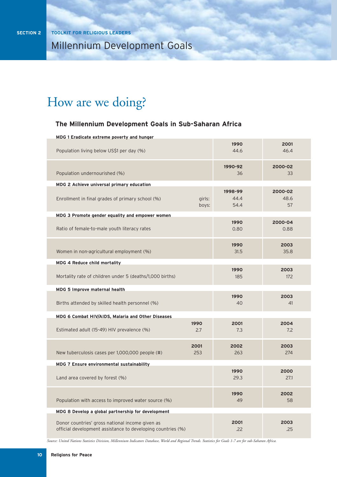# How are we doing?

#### **The Millennium Development Goals in Sub-Saharan Africa**

| MDG 1 Eradicate extreme poverty and hunger                                                                     |                 |                         |                       |
|----------------------------------------------------------------------------------------------------------------|-----------------|-------------------------|-----------------------|
| Population living below US\$1 per day (%)                                                                      |                 | 1990<br>44.6            | 2001<br>46.4          |
| Population undernourished (%)                                                                                  |                 | 1990-92<br>36           | 2000-02<br>33         |
| MDG 2 Achieve universal primary education                                                                      |                 |                         |                       |
| Enrollment in final grades of primary school (%)                                                               | girls:<br>boys: | 1998-99<br>44.4<br>54.4 | 2000-02<br>48.6<br>57 |
| MDG 3 Promote gender equality and empower women                                                                |                 |                         |                       |
| Ratio of female-to-male youth literacy rates                                                                   |                 | 1990<br>0.80            | 2000-04<br>0.88       |
| Women in non-agricultural employment (%)                                                                       |                 | 1990<br>31.5            | 2003<br>35.8          |
| MDG 4 Reduce child mortality                                                                                   |                 |                         |                       |
| Mortality rate of children under 5 (deaths/1,000 births)                                                       |                 | 1990<br>185             | 2003<br>172           |
| MDG 5 Improve maternal health                                                                                  |                 |                         |                       |
| Births attended by skilled health personnel (%)                                                                |                 | 1990<br>40              | 2003<br>41            |
| MDG 6 Combat HIV/AIDS, Malaria and Other Diseases                                                              |                 |                         |                       |
| Estimated adult (15-49) HIV prevalence (%)                                                                     | 1990<br>2.7     | 2001<br>7.3             | 2004<br>7.2           |
|                                                                                                                | 2001            | 2002                    | 2003                  |
| New tuberculosis cases per 1,000,000 people (#)                                                                | 253             | 263                     | 274                   |
| MDG 7 Ensure environmental sustainability                                                                      |                 |                         |                       |
| Land area covered by forest (%)                                                                                |                 | 1990<br>29.3            | 2000<br>27.1          |
| Population with access to improved water source (%)                                                            |                 | 1990<br>49              | 2002<br>58            |
| MDG 8 Develop a global partnership for development                                                             |                 |                         |                       |
| Donor countries' gross national income given as<br>official development assistance to developing countries (%) |                 | 2001<br>.22             | 2003<br>.25           |

*Source: United Nations Statistics Division, Millennium Indicators Database, World and Regional Trends. Statistics for Goals 1-7 are for sub-Saharan Africa.*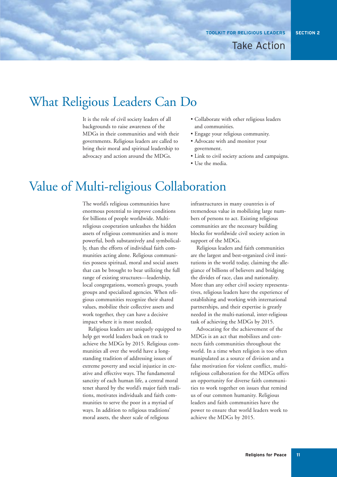# What Religious Leaders Can Do

It is the role of civil society leaders of all backgrounds to raise awareness of the MDGs in their communities and with their governments. Religious leaders are called to bring their moral and spiritual leadership to advocacy and action around the MDGs.

- Collaborate with other religious leaders and communities.
- Engage your religious community.
- Advocate with and monitor your government.
- Link to civil society actions and campaigns.
- Use the media.

# Value of Multi-religious Collaboration

The world's religious communities have enormous potential to improve conditions for billions of people worldwide. Multireligious cooperation unleashes the hidden assets of religious communities and is more powerful, both substantively and symbolically, than the efforts of individual faith communities acting alone. Religious communities possess spiritual, moral and social assets that can be brought to bear utilizing the full range of existing structures—leadership, local congregations, women's groups, youth groups and specialized agencies. When religious communities recognize their shared values, mobilize their collective assets and work together, they can have a decisive impact where it is most needed.

Religious leaders are uniquely equipped to help get world leaders back on track to achieve the MDGs by 2015. Religious communities all over the world have a longstanding tradition of addressing issues of extreme poverty and social injustice in creative and effective ways. The fundamental sanctity of each human life, a central moral tenet shared by the world's major faith traditions, motivates individuals and faith communities to serve the poor in a myriad of ways. In addition to religious traditions' moral assets, the sheer scale of religious

infrastructures in many countries is of tremendous value in mobilizing large numbers of persons to act. Existing religious communities are the necessary building blocks for worldwide civil society action in support of the MDGs.

Religious leaders and faith communities are the largest and best-organized civil institutions in the world today, claiming the allegiance of billions of believers and bridging the divides of race, class and nationality. More than any other civil society representatives, religious leaders have the experience of establishing and working with international partnerships, and their expertise is greatly needed in the multi-national, inter-religious task of achieving the MDGs by 2015.

Advocating for the achievement of the MDGs is an act that mobilizes and connects faith communities throughout the world. In a time when religion is too often manipulated as a source of division and a false motivation for violent conflict, multireligious collaboration for the MDGs offers an opportunity for diverse faith communities to work together on issues that remind us of our common humanity. Religious leaders and faith communities have the power to ensure that world leaders work to achieve the MDGs by 2015.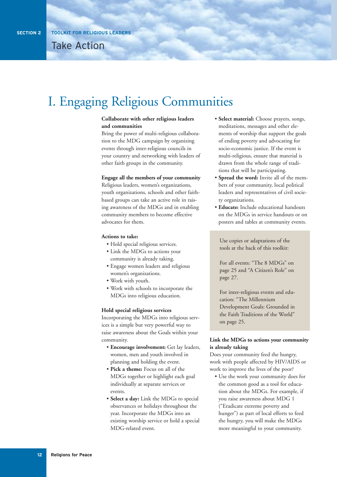# I. Engaging Religious Communities

#### **Collaborate with other religious leaders and communities**

Bring the power of multi-religious collaboration to the MDG campaign by organizing events through inter-religious councils in your country and networking with leaders of other faith groups in the community.

#### **Engage all the members of your community**

Religious leaders, women's organizations, youth organizations, schools and other faithbased groups can take an active role in raising awareness of the MDGs and in enabling community members to become effective advocates for them.

#### **Actions to take:**

- Hold special religious services.
- Link the MDGs to actions your community is already taking.
- Engage women leaders and religious women's organizations.
- Work with youth.
- Work with schools to incorporate the MDGs into religious education.

#### **Hold special religious services**

Incorporating the MDGs into religious services is a simple but very powerful way to raise awareness about the Goals within your community.

- **Encourage involvement:** Get lay leaders, women, men and youth involved in planning and holding the event.
- **Pick a theme:** Focus on all of the MDGs together or highlight each goal individually at separate services or events.
- **Select a day:** Link the MDGs to special observances or holidays throughout the year. Incorporate the MDGs into an existing worship service or hold a special MDG-related event.
- **Select material:** Choose prayers, songs, meditations, messages and other elements of worship that support the goals of ending poverty and advocating for socio-economic justice. If the event is multi-religious, ensure that material is drawn from the whole range of traditions that will be participating.
- **Spread the word:** Invite all of the members of your community, local political leaders and representatives of civil society organizations.
- **Educate:** Include educational handouts on the MDGs in service handouts or on posters and tables at community events.

Use copies or adaptations of the tools at the back of this toolkit:

For all events: "The 8 MDGs" on page 25 and "A Citizen's Role" on page 27.

For inter-religious events and education: "The Millennium Development Goals: Grounded in the Faith Traditions of the World" on page 25.

#### **Link the MDGs to actions your community is already taking**

Does your community feed the hungry, work with people affected by HIV/AIDS or work to improve the lives of the poor?

• Use the work your community does for the common good as a tool for education about the MDGs. For example, if you raise awareness about MDG 1 ("Eradicate extreme poverty and hunger") as part of local efforts to feed the hungry, you will make the MDGs more meaningful to your community.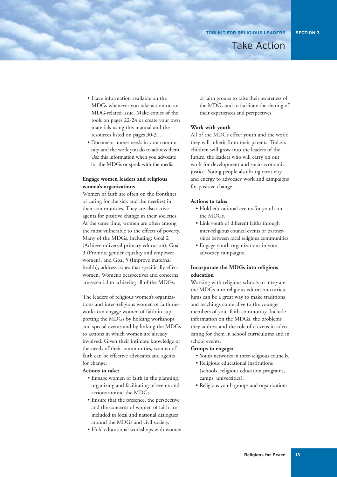• Have information available on the MDGs whenever you take action on an MDG-related issue. Make copies of the tools on pages 22-24 or create your own materials using this manual and the resources listed on pages 30-31.

• Document unmet needs in your community and the work you do to address them. Use this information when you advocate for the MDGs or speak with the media.

#### **Engage women leaders and religious women's organizations**

Women of faith are often on the frontlines of caring for the sick and the neediest in their communities. They are also active agents for positive change in their societies. At the same time, women are often among the most vulnerable to the effects of poverty. Many of the MDGs, including: Goal 2 (Achieve universal primary education), Goal 3 (Promote gender equality and empower women), and Goal 5 (Improve maternal health), address issues that specifically effect women. Women's perspectives and concerns are essential to achieving all of the MDGs.

The leaders of religious women's organizations and inter-religious women of faith networks can engage women of faith in supporting the MDGs by holding workshops and special events and by linking the MDGs to actions in which women are already involved. Given their intimate knowledge of the needs of their communities, women of faith can be effective advocates and agents for change.

#### **Actions to take:**

- Engage women of faith in the planning, organizing and facilitating of events and actions around the MDGs.
- Ensure that the presence, the perspective and the concerns of women of faith are included in local and national dialogues around the MDGs and civil society.
- Hold educational workshops with women

of faith groups to raise their awareness of the MDGs and to facilitate the sharing of their experiences and perspectives.

#### **Work with youth**

All of the MDGs effect youth and the world they will inherit from their parents. Today's children will grow into the leaders of the future, the leaders who will carry on our work for development and socio-economic justice. Young people also bring creativity and energy to advocacy work and campaigns for positive change.

#### **Actions to take:**

- Hold educational events for youth on the MDGs.
- Link youth of different faiths through inter-religious council events or partnerships between local religious communities.
- Engage youth organizations in your advocacy campaigns.

#### **Incorporate the MDGs into religious education**

Working with religious schools to integrate the MDGs into religious education curriculums can be a great way to make traditions and teachings come alive to the younger members of your faith community. Include information on the MDGs, the problems they address and the role of citizens in advocating for them in school curriculums and in school events.

#### **Groups to engage:**

- Youth networks in inter-religious councils.
- Religious educational institutions (schools, religious education programs, camps, universities).
- Religious youth groups and organizations.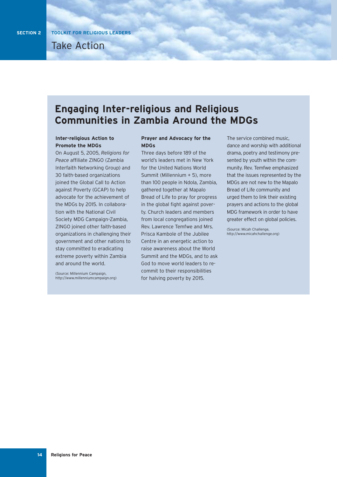### **Engaging Inter-religious and Religious Communities in Zambia Around the MDGs**

#### **Inter-religious Action to Promote the MDGs**

On August 5, 2005, *Religions for Peace* affiliate ZINGO (Zambia Interfaith Networking Group) and 30 faith-based organizations joined the Global Call to Action against Poverty (GCAP) to help advocate for the achievement of the MDGs by 2015. In collaboration with the National Civil Society MDG Campaign–Zambia, ZINGO joined other faith-based organizations in challenging their government and other nations to stay committed to eradicating extreme poverty within Zambia and around the world.

(Source: Millennium Campaign, http://www.millenniumcampaign.org)

#### **Prayer and Advocacy for the MDGs**

Three days before 189 of the world's leaders met in New York for the United Nations World Summit (Millennium + 5), more than 100 people in Ndola, Zambia, gathered together at Mapalo Bread of Life to pray for progress in the global fight against poverty. Church leaders and members from local congregations joined Rev. Lawrence Temfwe and Mrs. Prisca Kambole of the Jubilee Centre in an energetic action to raise awareness about the World Summit and the MDGs, and to ask God to move world leaders to recommit to their responsibilities for halving poverty by 2015.

The service combined music, dance and worship with additional drama, poetry and testimony presented by youth within the community. Rev. Temfwe emphasized that the issues represented by the MDGs are not new to the Mapalo Bread of Life community and urged them to link their existing prayers and actions to the global MDG framework in order to have greater effect on global policies.

(Source: Micah Challenge, http://www.micahchallenge.org)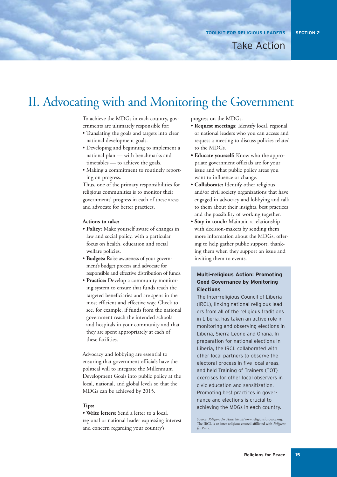#### **SECTION 2**

# II. Advocating with and Monitoring the Government

To achieve the MDGs in each country, governments are ultimately responsible for:

- Translating the goals and targets into clear national development goals.
- Developing and beginning to implement a national plan — with benchmarks and timetables — to achieve the goals.
- Making a commitment to routinely reporting on progress.

Thus, one of the primary responsibilities for religious communities is to monitor their governments' progress in each of these areas and advocate for better practices.

#### **Actions to take:**

- **Policy:** Make yourself aware of changes in law and social policy, with a particular focus on health, education and social welfare policies.
- **Budgets:** Raise awareness of your government's budget process and advocate for responsible and effective distribution of funds.
- **Practice:** Develop a community monitoring system to ensure that funds reach the targeted beneficiaries and are spent in the most efficient and effective way. Check to see, for example, if funds from the national government reach the intended schools and hospitals in your community and that they are spent appropriately at each of these facilities.

Advocacy and lobbying are essential to ensuring that government officials have the political will to integrate the Millennium Development Goals into public policy at the local, national, and global levels so that the MDGs can be achieved by 2015.

#### **Tips:**

**• Write letters:** Send a letter to a local, regional or national leader expressing interest and concern regarding your country's

progress on the MDGs.

- **Request meetings**: Identify local, regional or national leaders who you can access and request a meeting to discuss policies related to the MDGs.
- **Educate yourself:** Know who the appropriate government officials are for your issue and what public policy areas you want to influence or change.
- **Collaborate:** Identify other religious and/or civil society organizations that have engaged in advocacy and lobbying and talk to them about their insights, best practices and the possibility of working together.
- **Stay in touch:** Maintain a relationship with decision-makers by sending them more information about the MDGs, offering to help gather public support, thanking them when they support an issue and inviting them to events.

#### **Multi-religious Action: Promoting Good Governance by Monitoring Elections**

The Inter-religious Council of Liberia (IRCL), linking national religious leaders from all of the religious traditions in Liberia, has taken an active role in monitoring and observing elections in Liberia, Sierra Leone and Ghana. In preparation for national elections in Liberia, the IRCL collaborated with other local partners to observe the electoral process in five local areas, and held Training of Trainers (TOT) exercises for other local observers in civic education and sensitization. Promoting best practices in governance and elections is crucial to achieving the MDGs in each country.

Source: *Religions for Peace*, http://www.religionsforpeace.org. The IRCL is an inter-religious council affiliated with *Religions for Peace*.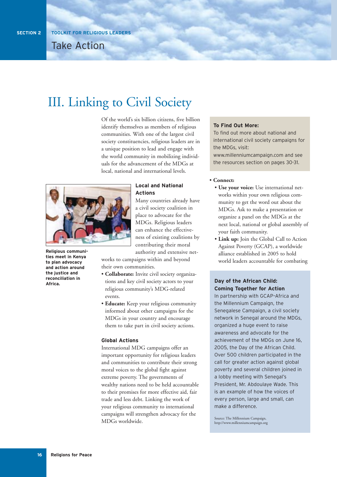# III. Linking to Civil Society

Of the world's six billion citizens, five billion identify themselves as members of religious communities. With one of the largest civil society constituencies, religious leaders are in a unique position to lead and engage with the world community in mobilizing individuals for the advancement of the MDGs at local, national and international levels.



**Religious communities meet in Kenya to plan advocacy and action around the justice and reconciliation in Africa.**

#### **Local and National Actions**

Many countries already have a civil society coalition in place to advocate for the MDGs. Religious leaders can enhance the effectiveness of existing coalitions by contributing their moral authority and extensive net-

works to campaigns within and beyond their own communities.

- **Collaborate:** Invite civil society organizations and key civil society actors to your religious community's MDG-related events.
- **Educate:** Keep your religious community informed about other campaigns for the MDGs in your country and encourage them to take part in civil society actions.

#### **Global Actions**

International MDG campaigns offer an important opportunity for religious leaders and communities to contribute their strong moral voices to the global fight against extreme poverty. The governments of wealthy nations need to be held accountable to their promises for more effective aid, fair trade and less debt. Linking the work of your religious community to international campaigns will strengthen advocacy for the MDGs worldwide.

#### **To Find Out More:**

To find out more about national and international civil society campaigns for the MDGs, visit: www.millenniumcampaign.com and see

the resources section on pages 30-31.

#### • **Connect:**

- **Use your voice:** Use international networks within your own religious community to get the word out about the MDGs. Ask to make a presentation or organize a panel on the MDGs at the next local, national or global assembly of your faith community.
- **Link up:** Join the Global Call to Action Against Poverty (GCAP), a worldwide alliance established in 2005 to hold world leaders accountable for combating

#### **Day of the African Child: Coming Together for Action**

In partnership with GCAP–Africa and the Millennium Campaign, the Senegalese Campaign, a civil society network in Senegal around the MDGs, organized a huge event to raise awareness and advocate for the achievement of the MDGs on June 16, 2005, the Day of the African Child. Over 500 children participated in the call for greater action against global poverty and several children joined in a lobby meeting with Senegal's President, Mr. Abdoulaye Wade. This is an example of how the voices of every person, large and small, can make a difference.

Source: The Millennium Campaign, http://www.millenniumcampaign.org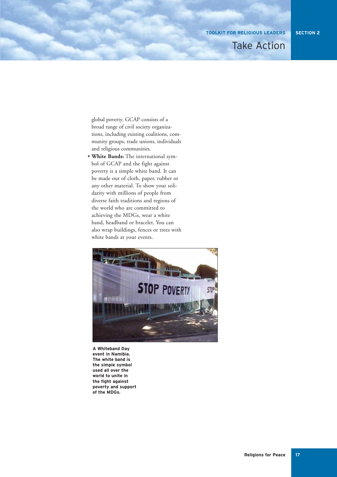**TOOLKIT FOR RELIGIOUS LEADERS**

### Take Action

global poverty. GCAP consists of a broad range of civil society organizations, including existing coalitions, community groups, trade unions, individuals and religious communities.

• **White Bands:** The international symbol of GCAP and the fight against poverty is a simple white band. It can be made out of cloth, paper, rubber or any other material. To show your solidarity with millions of people from diverse faith traditions and regions of the world who are committed to achieving the MDGs, wear a white band, headband or bracelet. You can also wrap buildings, fences or trees with white bands at your events.



**A Whiteband Day event in Namibia. The white band is the simple symbol used all over the world to unite in the fight against poverty and support of the MDGs.**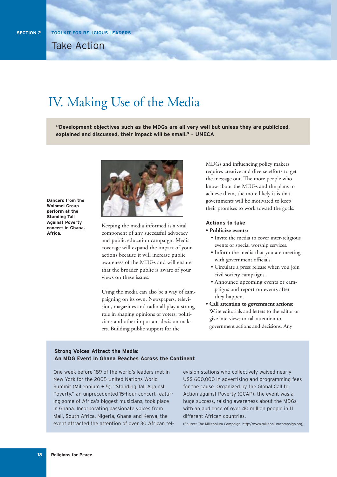# IV. Making Use of the Media

**"Development objectives such as the MDGs are all very well but unless they are publicized, explained and discussed, their impact will be small." – UNECA** 

**Dancers from the Wolomei Group perform at the Standing Tall Against Poverty concert in Ghana, Africa.**



Keeping the media informed is a vital component of any successful advocacy and public education campaign. Media coverage will expand the impact of your actions because it will increase public awareness of the MDGs and will ensure that the broader public is aware of your views on these issues.

Using the media can also be a way of campaigning on its own. Newspapers, television, magazines and radio all play a strong role in shaping opinions of voters, politicians and other important decision makers. Building public support for the

MDGs and influencing policy makers requires creative and diverse efforts to get the message out. The more people who know about the MDGs and the plans to achieve them, the more likely it is that governments will be motivated to keep their promises to work toward the goals.

#### **Actions to take**

#### **• Publicize events:**

- Invite the media to cover inter-religious events or special worship services.
- Inform the media that you are meeting with government officials.
- Circulate a press release when you join civil society campaigns.
- Announce upcoming events or campaigns and report on events after they happen.
- **Call attention to government actions:** Write editorials and letters to the editor or give interviews to call attention to government actions and decisions. Any

#### **Strong Voices Attract the Media: An MDG Event in Ghana Reaches Across the Continent**

One week before 189 of the world's leaders met in New York for the 2005 United Nations World Summit (Millennium + 5), "Standing Tall Against Poverty," an unprecedented 15-hour concert featuring some of Africa's biggest musicians, took place in Ghana. Incorporating passionate voices from Mali, South Africa, Nigeria, Ghana and Kenya, the event attracted the attention of over 30 African television stations who collectively waived nearly US\$ 600,000 in advertising and programming fees for the cause. Organized by the Global Call to Action against Poverty (GCAP), the event was a huge success, raising awareness about the MDGs with an audience of over 40 million people in 11 different African countries.

(Source: The Millennium Campaign, http://www.millenniumcampaign.org)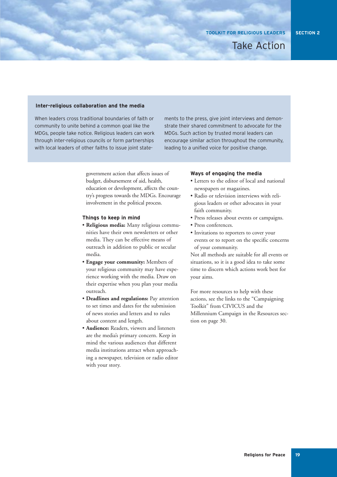#### **SECTION 2**

#### **Inter-religious collaboration and the media**

When leaders cross traditional boundaries of faith or community to unite behind a common goal like the MDGs, people take notice. Religious leaders can work through inter-religious councils or form partnerships with local leaders of other faiths to issue joint state-

ments to the press, give joint interviews and demonstrate their shared commitment to advocate for the MDGs. Such action by trusted moral leaders can encourage similar action throughout the community, leading to a unified voice for positive change.

government action that affects issues of budget, disbursement of aid, health, education or development, affects the country's progress towards the MDGs. Encourage involvement in the political process.

#### **Things to keep in mind**

- **Religious media:** Many religious communities have their own newsletters or other media. They can be effective means of outreach in addition to public or secular media.
- **Engage your community:** Members of your religious community may have experience working with the media. Draw on their expertise when you plan your media outreach.
- **Deadlines and regulations:** Pay attention to set times and dates for the submission of news stories and letters and to rules about content and length.
- **Audience:** Readers, viewers and listeners are the media's primary concern. Keep in mind the various audiences that different media institutions attract when approaching a newspaper, television or radio editor with your story.

#### **Ways of engaging the media**

- Letters to the editor of local and national newspapers or magazines.
- Radio or television interviews with religious leaders or other advocates in your faith community.
- Press releases about events or campaigns.
- Press conferences.
- Invitations to reporters to cover your events or to report on the specific concerns of your community.

Not all methods are suitable for all events or situations, so it is a good idea to take some time to discern which actions work best for your aims.

For more resources to help with these actions, see the links to the "Campaigning Toolkit" from CIVICUS and the Millennium Campaign in the Resources section on page 30.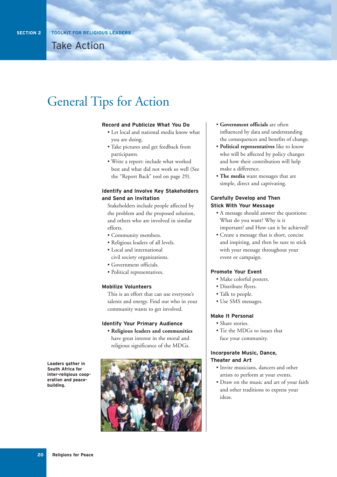# General Tips for Action

#### **Record and Publicize What You Do**

- Let local and national media know what you are doing.
- Take pictures and get feedback from participants.
- Write a report: include what worked best and what did not work so well (See the "Report Back" tool on page 29).

#### **Identify and Involve Key Stakeholders and Send an Invitation**

Stakeholders include people affected by the problem and the proposed solution, and others who are involved in similar efforts.

- Community members.
- Religious leaders of all levels.
- Local and international civil society organizations.
- Government officials.
- Political representatives.

#### **Mobilize Volunteers**

This is an effort that can use everyone's talents and energy. Find out who in your community wants to get involved.

#### **Identify Your Primary Audience**

• **Religious leaders and communities** have great interest in the moral and religious significance of the MDGs.



- **Government officials** are often influenced by data and understanding the consequences and benefits of change.
- **Political representatives** like to know who will be affected by policy changes and how their contribution will help make a difference.
- **The media** want messages that are simple, direct and captivating.

#### **Carefully Develop and Then Stick With Your Message**

- A message should answer the questions: What do you want? Why is it important? and How can it be achieved?
- Create a message that is short, concise and inspiring, and then be sure to stick with your message throughout your event or campaign.

#### **Promote Your Event**

- Make colorful posters.
- Distribute flyers.
- Talk to people.
- Use SMS messages.

#### **Make It Personal**

- Share stories.
- Tie the MDGs to issues that face your community.

#### **Incorporate Music, Dance, Theater and Art**

- Invite musicians, dancers and other artists to perform at your events.
- Draw on the music and art of your faith and other traditions to express your ideas.

**Leaders gather in South Africa for inter-religious cooperation and peacebuilding.**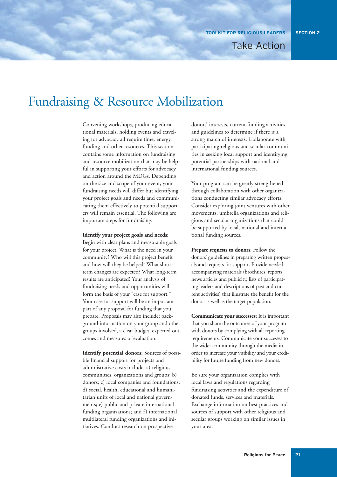# Fundraising & Resource Mobilization

Convening workshops, producing educational materials, holding events and traveling for advocacy all require time, energy, funding and other resources. This section contains some information on fundraising and resource mobilization that may be helpful in supporting your efforts for advocacy and action around the MDGs. Depending on the size and scope of your event, your fundraising needs will differ but identifying your project goals and needs and communicating them effectively to potential supporters will remain essential. The following are important steps for fundraising.

#### **Identify your project goals and needs:**

Begin with clear plans and measurable goals for your project. What is the need in your community? Who will this project benefit and how will they be helped? What shortterm changes are expected? What long-term results are anticipated? Your analysis of fundraising needs and opportunities will form the basis of your "case for support." Your case for support will be an important part of any proposal for funding that you prepare. Proposals may also include: background information on your group and other groups involved, a clear budget, expected outcomes and measures of evaluation.

**Identify potential donors:** Sources of possible financial support for projects and administrative costs include: a) religious communities, organizations and groups; b) donors; c) local companies and foundations; d) social, health, educational and humanitarian units of local and national governments; e) public and private international funding organizations; and f) international multilateral funding organizations and initiatives. Conduct research on prospective

donors' interests, current funding activities and guidelines to determine if there is a strong match of interests. Collaborate with participating religious and secular communities in seeking local support and identifying potential partnerships with national and international funding sources.

Your program can be greatly strengthened through collaboration with other organizations conducting similar advocacy efforts. Consider exploring joint ventures with other movements, umbrella organizations and religious and secular organizations that could be supported by local, national and international funding sources.

**Prepare requests to donors**: Follow the donors' guidelines in preparing written proposals and requests for support. Provide needed accompanying materials (brochures, reports, news articles and publicity, lists of participating leaders and descriptions of past and current activities) that illustrate the benefit for the donor as well as the target population.

**Communicate your successes:** It is important that you share the outcomes of your program with donors by complying with all reporting requirements. Communicate your successes to the wider community through the media in order to increase your visibility and your credibility for future funding from new donors.

Be sure your organization complies with local laws and regulations regarding fundraising activities and the expenditure of donated funds, services and materials. Exchange information on best practices and sources of support with other religious and secular groups working on similar issues in your area.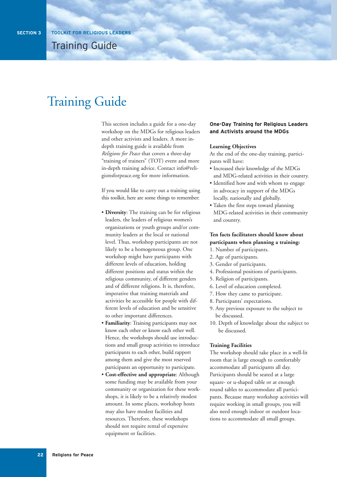# Training Guide

This section includes a guide for a one-day workshop on the MDGs for religious leaders and other activists and leaders. A more indepth training guide is available from *Religions for Peace* that covers a three-day "training of trainers" (TOT) event and more in-depth training advice. Contact info@religionsforpeace.org for more information.

If you would like to carry out a training using this toolkit, here are some things to remember:

- **Diversity**: The training can be for religious leaders, the leaders of religious women's organizations or youth groups and/or community leaders at the local or national level. Thus, workshop participants are not likely to be a homogeneous group. One workshop might have participants with different levels of education, holding different positions and status within the religious community, of different genders and of different religions. It is, therefore, imperative that training materials and activities be accessible for people with different levels of education and be sensitive to other important differences.
- **Familiarity**: Training participants may not know each other or know each other well. Hence, the workshops should use introductions and small group activities to introduce participants to each other, build rapport among them and give the most reserved participants an opportunity to participate.
- **Cost-effective and appropriate**: Although some funding may be available from your community or organization for these workshops, it is likely to be a relatively modest amount. In some places, workshop hosts may also have modest facilities and resources. Therefore, these workshops should not require rental of expensive equipment or facilities.

#### **One-Day Training for Religious Leaders and Activists around the MDGs**

#### **Learning Objectives**

At the end of the one-day training, participants will have:

- Increased their knowledge of the MDGs and MDG-related activities in their country.
- Identified how and with whom to engage in advocacy in support of the MDGs locally, nationally and globally.
- Taken the first steps toward planning MDG-related activities in their community and country.

#### **Ten facts facilitators should know about participants when planning a training:**

- 1. Number of participants.
- 2. Age of participants.
- 3. Gender of participants.
- 4. Professional positions of participants.
- 5. Religion of participants.
- 6. Level of education completed.
- 7. How they came to participate.
- 8. Participants' expectations.
- 9. Any previous exposure to the subject to be discussed.
- 10. Depth of knowledge about the subject to be discussed.

#### **Training Facilities**

The workshop should take place in a well-lit room that is large enough to comfortably accommodate all participants all day. Participants should be seated at a large square- or u-shaped table or at enough round tables to accommodate all participants. Because many workshop activities will require working in small groups, you will also need enough indoor or outdoor locations to accommodate all small groups.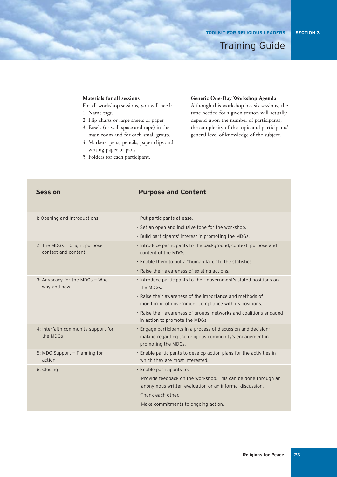Training Guide

**SECTION 3**

#### **Materials for all sessions**

For all workshop sessions, you will need:

- 1. Name tags.
- 2. Flip charts or large sheets of paper.
- 3. Easels (or wall space and tape) in the main room and for each small group.
- 4. Markers, pens, pencils, paper clips and writing paper or pads.
- 5. Folders for each participant.

#### **Generic One-Day Workshop Agenda**

Although this workshop has six sessions, the time needed for a given session will actually depend upon the number of participants, the complexity of the topic and participants' general level of knowledge of the subject.

| <b>Session</b>                                        | <b>Purpose and Content</b>                                                                                                                        |
|-------------------------------------------------------|---------------------------------------------------------------------------------------------------------------------------------------------------|
| 1: Opening and Introductions                          | • Put participants at ease.                                                                                                                       |
|                                                       | • Set an open and inclusive tone for the workshop.                                                                                                |
|                                                       | . Build participants' interest in promoting the MDGs.                                                                                             |
| 2: The MDGs - Origin, purpose,<br>context and content | . Introduce participants to the background, context, purpose and<br>content of the MDGs.                                                          |
|                                                       | . Enable them to put a "human face" to the statistics.                                                                                            |
|                                                       | • Raise their awareness of existing actions.                                                                                                      |
| 3: Advocacy for the MDGs - Who,<br>why and how        | . Introduce participants to their government's stated positions on<br>the MDGs.                                                                   |
|                                                       | . Raise their awareness of the importance and methods of<br>monitoring of government compliance with its positions.                               |
|                                                       | . Raise their awareness of groups, networks and coalitions engaged<br>in action to promote the MDGs.                                              |
| 4: Interfaith community support for<br>the MDGs       | . Engage participants in a process of discussion and decision-<br>making regarding the religious community's engagement in<br>promoting the MDGs. |
| 5: MDG Support - Planning for<br>action               | . Enable participants to develop action plans for the activities in<br>which they are most interested.                                            |
| 6: Closing                                            | · Enable participants to:                                                                                                                         |
|                                                       | -Provide feedback on the workshop. This can be done through an<br>anonymous written evaluation or an informal discussion.                         |
|                                                       | -Thank each other.                                                                                                                                |
|                                                       | -Make commitments to ongoing action.                                                                                                              |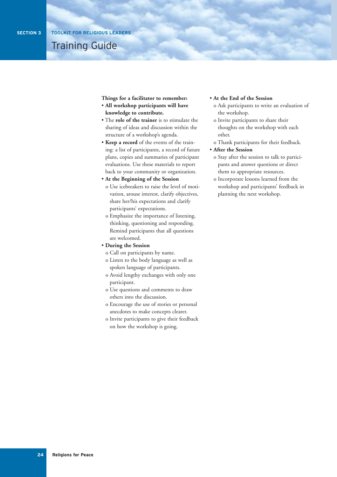Training Guide

**Things for a facilitator to remember:**

- **All workshop participants will have knowledge to contribute.**
- The **role of the trainer** is to stimulate the sharing of ideas and discussion within the structure of a workshop's agenda.
- **Keep a record** of the events of the training: a list of participants, a record of future plans, copies and summaries of participant evaluations. Use these materials to report back to your community or organization.
- **At the Beginning of the Session** o Use icebreakers to raise the level of motivation, arouse interest, clarify objectives, share her/his expectations and clarify participants' expectations.
	- o Emphasize the importance of listening, thinking, questioning and responding. Remind participants that all questions are welcomed.
- **During the Session**
	- o Call on participants by name.
	- o Listen to the body language as well as spoken language of participants.
	- o Avoid lengthy exchanges with only one participant.
	- o Use questions and comments to draw others into the discussion.
	- o Encourage the use of stories or personal anecdotes to make concepts clearer.
	- o Invite participants to give their feedback on how the workshop is going.

#### • **At the End of the Session**

- o Ask participants to write an evaluation of the workshop.
- o Invite participants to share their thoughts on the workshop with each other.
- o Thank participants for their feedback.
- **After the Session**
	- o Stay after the session to talk to participants and answer questions or direct them to appropriate resources.
	- o Incorporate lessons learned from the workshop and participants' feedback in planning the next workshop.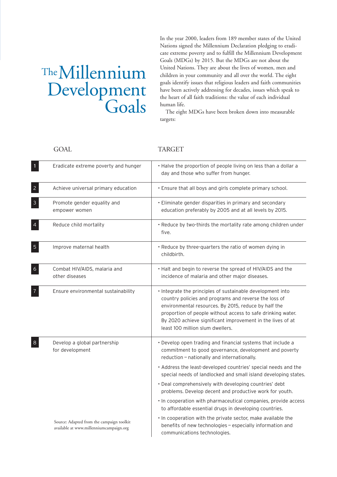# TheMillennium Development

In the year 2000, leaders from 189 member states of the United Nations signed the Millennium Declaration pledging to eradicate extreme poverty and to fulfill the Millennium Development Goals (MDGs) by 2015. But the MDGs are not about the United Nations. They are about the lives of women, men and children in your community and all over the world. The eight goals identify issues that religious leaders and faith communities have been actively addressing for decades, issues which speak to the heart of all faith traditions: the value of each individual human life.

The eight MDGs have been broken down into measurable targets:

GOAL TARGET

| $\mathbf{1}$   | Eradicate extreme poverty and hunger                                                 | . Halve the proportion of people living on less than a dollar a<br>day and those who suffer from hunger.                                                                                                                                                                                                                                     |
|----------------|--------------------------------------------------------------------------------------|----------------------------------------------------------------------------------------------------------------------------------------------------------------------------------------------------------------------------------------------------------------------------------------------------------------------------------------------|
| $\overline{2}$ | Achieve universal primary education                                                  | . Ensure that all boys and girls complete primary school.                                                                                                                                                                                                                                                                                    |
| $\mathbf{3}$   | Promote gender equality and<br>empower women                                         | • Eliminate gender disparities in primary and secondary<br>education preferably by 2005 and at all levels by 2015.                                                                                                                                                                                                                           |
| $\overline{a}$ | Reduce child mortality                                                               | . Reduce by two-thirds the mortality rate among children under<br>five.                                                                                                                                                                                                                                                                      |
| $\overline{5}$ | Improve maternal health                                                              | • Reduce by three-quarters the ratio of women dying in<br>childbirth.                                                                                                                                                                                                                                                                        |
| $\overline{6}$ | Combat HIV/AIDS, malaria and<br>other diseases                                       | . Halt and begin to reverse the spread of HIV/AIDS and the<br>incidence of malaria and other major diseases.                                                                                                                                                                                                                                 |
| 7              | Ensure environmental sustainability                                                  | . Integrate the principles of sustainable development into<br>country policies and programs and reverse the loss of<br>environmental resources. By 2015, reduce by half the<br>proportion of people without access to safe drinking water.<br>By 2020 achieve significant improvement in the lives of at<br>least 100 million slum dwellers. |
| $8\phantom{1}$ | Develop a global partnership<br>for development                                      | • Develop open trading and financial systems that include a<br>commitment to good governance, development and poverty<br>reduction - nationally and internationally.                                                                                                                                                                         |
|                |                                                                                      | • Address the least-developed countries' special needs and the<br>special needs of landlocked and small island developing states.                                                                                                                                                                                                            |
|                |                                                                                      | • Deal comprehensively with developing countries' debt<br>problems. Develop decent and productive work for youth.                                                                                                                                                                                                                            |
|                |                                                                                      | . In cooperation with pharmaceutical companies, provide access<br>to affordable essential drugs in developing countries.                                                                                                                                                                                                                     |
|                | Source: Adapted from the campaign toolkit<br>available at www.millenniumcampaign.org | . In cooperation with the private sector, make available the<br>benefits of new technologies - especially information and<br>communications technologies.                                                                                                                                                                                    |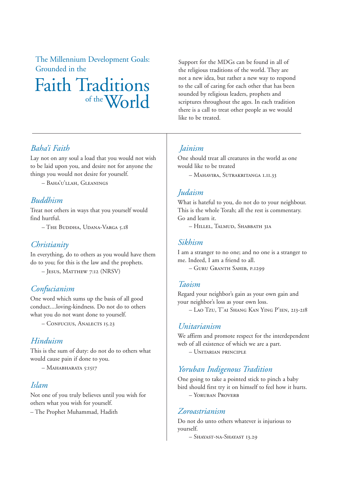The Millennium Development Goals: Grounded in the

# Faith Traditions of the  $W_0r$  $d$

Support for the MDGs can be found in all of the religious traditions of the world. They are not a new idea, but rather a new way to respond to the call of caring for each other that has been sounded by religious leaders, prophets and scriptures throughout the ages. In each tradition there is a call to treat other people as we would like to be treated.

### *Baha'i Faith*

Lay not on any soul a load that you would not wish to be laid upon you, and desire not for anyone the things you would not desire for yourself.

– Baha'u'llah, Gleanings

### *Buddhism*

Treat not others in ways that you yourself would find hurtful.

– The Buddha, Udana-Varga 5.18

### *Christianity*

In everything, do to others as you would have them do to you; for this is the law and the prophets.

– Jesus, Matthew 7:12 (NRSV)

### *Confucianism*

One word which sums up the basis of all good conduct....loving-kindness. Do not do to others what you do not want done to yourself.

– Confucius, Analects 15.23

### *Hinduism*

This is the sum of duty: do not do to others what would cause pain if done to you.

 $-$  Mahabharata 5:1517

### *Islam*

Not one of you truly believes until you wish for others what you wish for yourself.

– The Prophet Muhammad, Hadith

### *Jainism*

One should treat all creatures in the world as one would like to be treated

– Mahavira, Sutrakritanga 1.11.33

### *Judaism*

What is hateful to you, do not do to your neighbour. This is the whole Torah; all the rest is commentary. Go and learn it.

– Hillel, Talmud, Shabbath 31a

### *Sikhism*

I am a stranger to no one; and no one is a stranger to me. Indeed, I am a friend to all.

– Guru Granth Sahib, p.1299

### *Taoism*

Regard your neighbor's gain as your own gain and your neighbor's loss as your own loss. – Lao Tzu, T'ai Shang Kan Ying P'ien, 213-218

### *Unitarianism*

We affirm and promote respect for the interdependent web of all existence of which we are a part.

– Unitarian principle

### *Yoruban Indigenous Tradition*

One going to take a pointed stick to pinch a baby bird should first try it on himself to feel how it hurts. – Yoruban Proverb

### *Zoroastrianism*

Do not do unto others whatever is injurious to yourself.

– Shayast-na-Shayast 13.29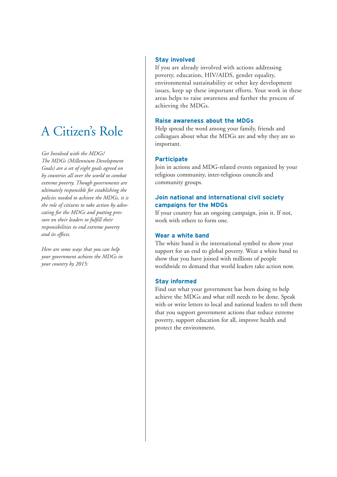# A Citizen's Role

*Get Involved with the MDGs! The MDGs (Millennium Development Goals) are a set of eight goals agreed on by countries all over the world to combat extreme poverty. Though governments are ultimately responsible for establishing the policies needed to achieve the MDGs, it is the role of citizens to take action by advocating for the MDGs and putting pressure on their leaders to fulfill their responsibilities to end extreme poverty and its effects.* 

*Here are some ways that you can help your government achieve the MDGs in your country by 2015:*

#### **Stay involved**

If you are already involved with actions addressing poverty, education, HIV/AIDS, gender equality, environmental sustainability or other key development issues, keep up these important efforts. Your work in these areas helps to raise awareness and further the process of achieving the MDGs.

#### **Raise awareness about the MDGs**

Help spread the word among your family, friends and colleagues about what the MDGs are and why they are so important.

### **Participate**

Join in actions and MDG-related events organized by your religious community, inter-religious councils and community groups.

### **Join national and international civil society campaigns for the MDGs**

If your country has an ongoing campaign, join it. If not, work with others to form one.

### **Wear a white band**

The white band is the international symbol to show your support for an end to global poverty. Wear a white band to show that you have joined with millions of people worldwide to demand that world leaders take action now.

### **Stay informed**

Find out what your government has been doing to help achieve the MDGs and what still needs to be done. Speak with or write letters to local and national leaders to tell them that you support government actions that reduce extreme poverty, support education for all, improve health and protect the environment.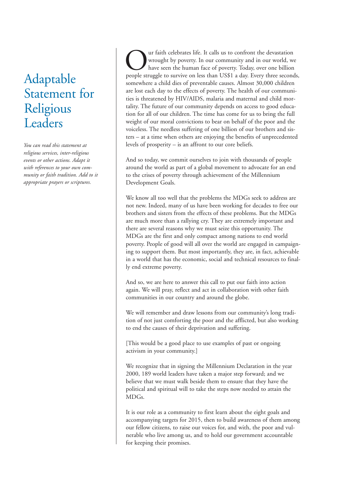# Adaptable Statement for Religious Leaders

*You can read this statement at religious services, inter-religious events or other actions. Adapt it with references to your own community or faith tradition. Add to it appropriate prayers or scriptures.* 

ur faith celebrates life. It calls us to confront the devastation wrought by poverty. In our community and in our world, we have seen the human face of poverty. Today, over one billion people struggle to survive on less than US\$1 a day. Every three seconds, somewhere a child dies of preventable causes. Almost 30,000 children are lost each day to the effects of poverty. The health of our communities is threatened by HIV/AIDS, malaria and maternal and child mortality. The future of our community depends on access to good education for all of our children. The time has come for us to bring the full weight of our moral convictions to bear on behalf of the poor and the voiceless. The needless suffering of one billion of our brothers and sisters – at a time when others are enjoying the benefits of unprecedented levels of prosperity – is an affront to our core beliefs.

And so today, we commit ourselves to join with thousands of people around the world as part of a global movement to advocate for an end to the crises of poverty through achievement of the Millennium Development Goals.

We know all too well that the problems the MDGs seek to address are not new. Indeed, many of us have been working for decades to free our brothers and sisters from the effects of these problems. But the MDGs are much more than a rallying cry. They are extremely important and there are several reasons why we must seize this opportunity. The MDGs are the first and only compact among nations to end world poverty. People of good will all over the world are engaged in campaigning to support them. But most importantly, they are, in fact, achievable in a world that has the economic, social and technical resources to finally end extreme poverty.

And so, we are here to answer this call to put our faith into action again. We will pray, reflect and act in collaboration with other faith communities in our country and around the globe.

We will remember and draw lessons from our community's long tradition of not just comforting the poor and the afflicted, but also working to end the causes of their deprivation and suffering.

[This would be a good place to use examples of past or ongoing activism in your community.]

We recognize that in signing the Millennium Declaration in the year 2000, 189 world leaders have taken a major step forward; and we believe that we must walk beside them to ensure that they have the political and spiritual will to take the steps now needed to attain the MDGs.

It is our role as a community to first learn about the eight goals and accompanying targets for 2015, then to build awareness of them among our fellow citizens, to raise our voices for, and with, the poor and vulnerable who live among us, and to hold our government accountable for keeping their promises.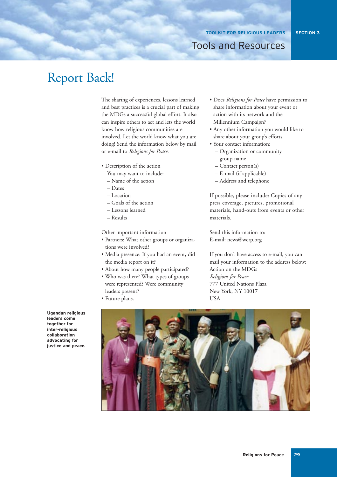**SECTION 3**

### Tools and Resources

# Report Back!

The sharing of experiences, lessons learned and best practices is a crucial part of making the MDGs a successful global effort. It also can inspire others to act and lets the world know how religious communities are involved. Let the world know what you are doing! Send the information below by mail or e-mail to *Religions for Peace*.

- Description of the action
	- You may want to include:
	- Name of the action
	- Dates
	- Location
	- Goals of the action
	- Lessons learned
	- Results

Other important information

- Partners: What other groups or organizations were involved?
- Media presence: If you had an event, did the media report on it?
- About how many people participated?
- Who was there? What types of groups were represented? Were community leaders present?
- Future plans.
- Does *Religions for Peace* have permission to share information about your event or action with its network and the Millennium Campaign?
- Any other information you would like to share about your group's efforts.
- Your contact information:
	- Organization or community group name
	- Contact person(s)
	- E-mail (if applicable)
	- Address and telephone

If possible, please include: Copies of any press coverage, pictures, promotional materials, hand-outs from events or other materials.

Send this information to: E-mail: news@wcrp.org

If you don't have access to e-mail, you can mail your information to the address below: Action on the MDGs *Religions for Peace* 777 United Nations Plaza New York, NY 10017 **TISA** 



**Ugandan religious leaders come together for inter-religious collaboration advocating for justice and peace.**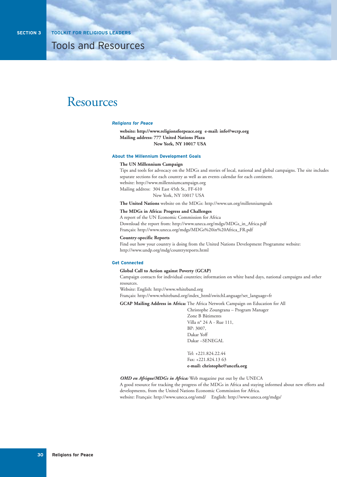### Resources

#### *Religions for Peace*

**website: http://www.religionsforpeace.org e-mail: info@wcrp.org Mailing address: 777 United Nations Plaza New York, NY 10017 USA**

#### **About the Millennium Development Goals**

#### **The UN Millennium Campaign**

Tips and tools for advocacy on the MDGs and stories of local, national and global campaigns. The site includes separate sections for each country as well as an events calendar for each continent. website: http://www.millenniumcampaign.org Mailing address: 304 East 45th St., FF-610 New York, NY 10017 USA

**The United Nations** website on the MDGs: http://www.un.org/millenniumgoals

#### **The MDGs in Africa: Progress and Challenges**

A report of the UN Economic Commission for Africa Download the report from: http://www.uneca.org/mdgs/MDGs\_in\_Africa.pdf Français: http://www.uneca.org/mdgs/MDGs%20in%20Africa\_FR.pdf

#### **Country-specific Reports**

Find out how your country is doing from the United Nations Development Programme website: http://www.undp.org/mdg/countryreports.html

#### **Get Connected**

#### **Global Call to Action against Poverty (GCAP)**

Campaign contacts for individual countries; information on white band days, national campaigns and other resources.

Website: English: http://www.whiteband.org

Français: http://www.whiteband.org/index\_html/switchLanguage?set\_language=fr

**GCAP Mailing Address in Africa:** The Africa Network Campaign on Education for All

Christophe Zoungrana – Program Manager Zone B Bâtiments Villa n° 24 A - Rue 111, BP: 3007, Dakar Yoff Dakar –SENEGAL

Tel: +221.824.22.44 Fax: +221.824.13 63 **e-mail: christophe@ancefa.org**

#### *OMD en Afrique/MDGs in Africa:* Web magazine put out by the UNECA

A good resource for tracking the progress of the MDGs in Africa and staying informed about new efforts and developments, from the United Nations Economic Commission for Africa. website: Français: http://www.uneca.org/omd/ English: http://www.uneca.org/mdgs/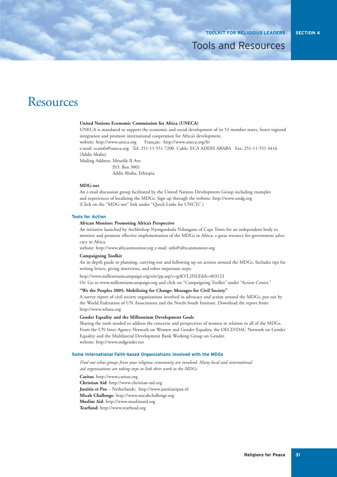### Resources

#### **United Nations Economic Commission for Africa (UNECA)**

UNECA is mandated to support the economic and social development of its 53 member states, foster regional integration and promote international cooperation for Africa's development. website: http://www.uneca.org Français: http://www.uneca.org/fr/ e-mail: ecainfo@uneca.org Tel: 251-11-551 7200 Cable: ECA ADDIS ABABA Fax: 251-11-551 4416 (Addis Ababa)

Mailing Address: Menelik II Ave.

P.O. Box 3001

Addis Ababa, Ethiopia

#### **MDG-net**

An e-mail discussion group facilitated by the United Nations Development Group including examples and experiences of localizing the MDGs: Sign up through the website: http://www.undg.org (Click on the "MDG-net" link under "Quick Links for UNCTs".)

#### **Tools for Action**

#### **African Monitor: Promoting Africa's Perspective**

An initiative launched by Archbishop Njongonkulu Ndungane of Cape Town for an independent body to monitor and promote effective implementation of the MDGs in Africa; a great resource for government advocacy in Africa.

website: http://www.africanmonitor.org e-mail: info@africanmonitor.org

#### **Campaigning Toolkit**

An in-depth guide to planning, carrying-out and following up on actions around the MDGs. Includes tips for writing letters, giving interviews, and other important steps:

http://www.millenniumcampaign.org/site/pp.asp?c=grKVL2NLE&b=403123

Or: Go to www.millenniumcampaign.org and click on "Campaigning Toolkit" under "Action Center."

#### **"We the Peoples 2005: Mobilizing for Change: Messages for Civil Society"**

A survey report of civil society organizations involved in advocacy and action around the MDGs, put out by the World Federation of UN Associations and the North-South Institute. Download the report from: http://www.wfuna.org

#### **Gender Equality and the Millennium Development Goals**

Sharing the tools needed to address the concerns and perspectives of women in relation to all of the MDGs. From the UN Inter-Agency Network on Women and Gender Equality, the OECD/DAC Network on Gender Equality and the Multilateral Development Bank Working Group on Gender. website: http://www.mdgender.net

#### **Some International Faith-based Organizations Involved with the MDGs**

*Find out what groups from your religious community are involved. Many local and international aid organizations are taking steps to link their work to the MDGs.*

**Caritas**: http://www.caritas.org

**Christian Aid**: http://www.christian-aid.org **Justitia et Pax** – Netherlands: http://www.justitiaetpax.nl **Micah Challenge**: http://www.micahchallenge.org **Muslim Aid**: http://www.muslimaid.org **Tearfund**: http://www.tearfund.org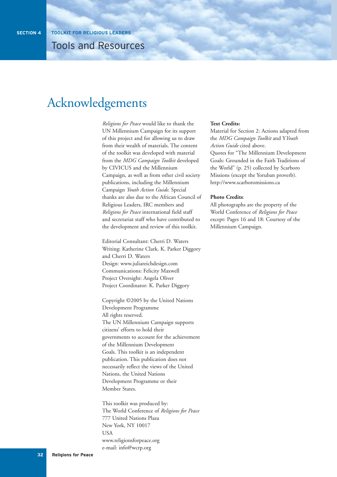# Acknowledgements

*Religions for Peace* would like to thank the UN Millennium Campaign for its support of this project and for allowing us to draw from their wealth of materials. The content of the toolkit was developed with material from the *MDG Campaign Toolkit* developed by CIVICUS and the Millennium Campaign, as well as from other civil society publications, including the Millennium Campaign *Youth Action Guide*. Special thanks are also due to the African Council of Religious Leaders, IRC members and *Religions for Peace* international field staff and secretariat staff who have contributed to the development and review of this toolkit.

Editorial Consultant: Cherri D. Waters Writing: Katherine Clark, K. Parker Diggory and Cherri D. Waters Design: www.juliareichdesign.com Communications: Felicity Maxwell Project Oversight: Angela Oliver Project Coordinator: K. Parker Diggory

Copyright ©2005 by the United Nations Development Programme All rights reserved. The UN Millennium Campaign supports citizens' efforts to hold their governments to account for the achievement of the Millennium Development Goals. This toolkit is an independent publication. This publication does not necessarily reflect the views of the United Nations, the United Nations Development Programme or their Member States.

This toolkit was produced by: The World Conference of *Religions for Peace* 777 United Nations Plaza New York, NY 10017 **USA** www.religionsforpeace.org e-mail: info@wcrp.org

#### **Text Credits:**

Material for Section 2: Actions adapted from the *MDG Campaign Toolkit* and Y*Youth Action Guide* cited above.

Quotes for "The Millennium Development Goals: Grounded in the Faith Traditions of the World" (p. 25) collected by Scarboro Missions (except the Yoruban proverb). http://www.scarboromissions.ca

#### **Photo Credits**:

All photographs are the property of the World Conference of *Religions for Peace* except: Pages 16 and 18: Courtesy of the Millennium Campaign.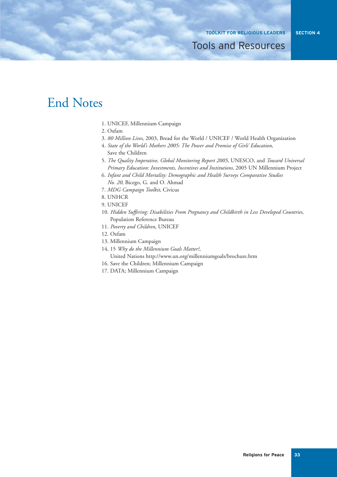# End Notes

- 1. UNICEF, Millennium Campaign
- 2. Oxfam
- 3. *80 Million Lives*, 2003, Bread for the World / UNICEF / World Health Organization
- 4. *State of the World's Mothers 2005: The Power and Promise of Girls' Education*, Save the Children
- 5. *The Quality Imperative, Global Monitoring Report 2005*, UNESCO, and *Toward Universal Primary Education: Investments, Incentives and Institutions*, 2005 UN Millennium Project
- 6. *Infant and Child Mortality: Demographic and Health Surveys Comparative Studies No. 20*, Bicego, G. and O. Ahmad
- 7. *MDG Campaign Toolkit*, Civicus
- 8. UNHCR
- 9. UNICEF
- 10. *Hidden Suffering: Disabilities From Pregnancy and Childbirth in Less Developed Countries*, Population Reference Bureau
- 11. *Poverty and Children*, UNICEF
- 12. Oxfam
- 13. Millennium Campaign
- 14, 15 *Why do the Millennium Goals Matter?*,
	- United Nations http://www.un.org/millenniumgoals/brochure.htm
- 16. Save the Children; Millennium Campaign
- 17. DATA; Millennium Campaign